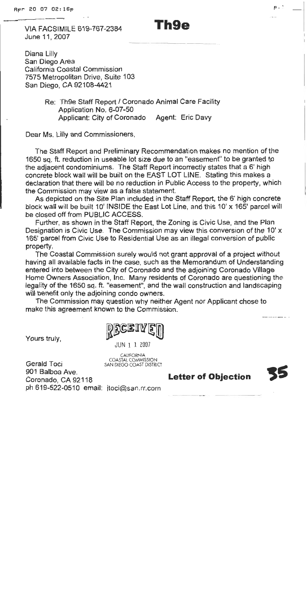**VIA FACSIMILE 619-767-2384** June 11, 2007

Diana Lilly San Diego Area California Coastal Commission 7575 Metropolitan Drive, Suite 103 San Diego, CA 92108-4421

> Re: Th9e Staff Report / Coronado Animal Care Facility Application No. 6-07-50 Applicant: City of Coronado Agent: Eric Davy

Dear Ms. Lilly and Commissioners,

The Staff Report and Preliminary Recommendation makes no mention of the 1650 sq. ft. reduction in useable lot size due to an "easement" to be granted to the adjacent condominiums. The Staff Report incorrectly states that a 6' high concrete block wall will be built on the EAST LOT LINE. Stating this makes a declaration that there will be no reduction in Public Access to the property, which the Commission may view as a false statement.

As depicted on the Site Plan included in the Staff Report, the 6' high concrete block wall will be built 10' INSIDE the East Lot Line, and this 10' x 165' parcel will be closed off from PUBLIC ACCESS.

Further, as shown in the Staff Report, the Zoning is Civic Use, and the Plan Designation is Civic Use. The Commission may view this conversion of the 10' x 165' parcel from Civic Use to Residential Use as an illegal conversion of public property.

The Coastal Commission surely would not grant approval of a project without having all available facts in the case, such as the Memorandum of Understanding entered into between the City of Coronado and the adjoining Coronado Village Home Owners Association, Inc. Many residents of Coronado are questioning the legality of the 1650 sq. ft. "easement", and the wall construction and landscaping will benefit only the adjoining condo owners.

The Commission may question why neither Agent nor Applicant chose to make this agreement known to the Commission.

Yours truly,

JUN 1 1 2007

**CALIFORNIA** COASTAL COMMISSION<br>SAN DIEGO COAST DISTRICT

**Gerald Toci** 901 Balboa Ave. Coronado, CA 92118 ph 619-522-0510 email: itoci@san.rr.com

# Th9e

**Letter of Objection** 

p.i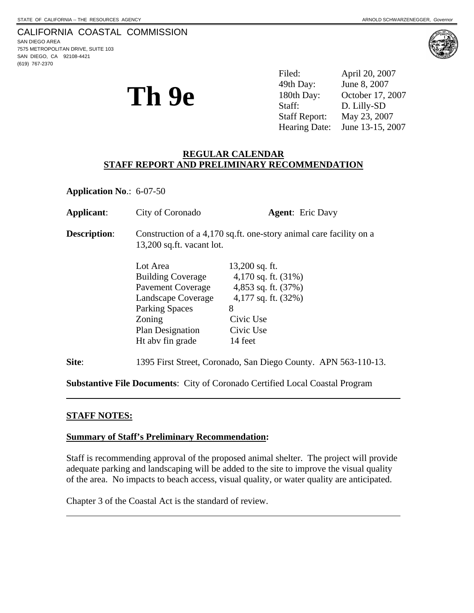# CALIFORNIA COASTAL COMMISSION

SAN DIEGO AREA 7575 METROPOLITAN DRIVE, SUITE 103 SAN DIEGO, CA 92108-4421 (619) 767-2370



**Th 9e** 

Filed: April 20, 2007 49th Day: June 8, 2007 180th Day: October 17, 2007 Staff: D. Lilly-SD Staff Report: May 23, 2007 Hearing Date: June 13-15, 2007

# **REGULAR CALENDAR STAFF REPORT AND PRELIMINARY RECOMMENDATION**

**Application No**.: 6-07-50

| Applicant:          | City of Coronado                                                                                                                                                  | <b>Agent:</b> Eric Davy                                                                                                                 |
|---------------------|-------------------------------------------------------------------------------------------------------------------------------------------------------------------|-----------------------------------------------------------------------------------------------------------------------------------------|
| <b>Description:</b> | Construction of a 4,170 sq.ft. one-story animal care facility on a<br>13,200 sq.ft. vacant lot.                                                                   |                                                                                                                                         |
|                     | Lot Area<br><b>Building Coverage</b><br><b>Pavement Coverage</b><br>Landscape Coverage<br><b>Parking Spaces</b><br>Zoning<br>Plan Designation<br>Ht aby fin grade | $13,200$ sq. ft.<br>4,170 sq. ft. $(31\%)$<br>4,853 sq. ft. $(37%)$<br>4,177 sq. ft. $(32\%)$<br>8<br>Civic Use<br>Civic Use<br>14 feet |
| Site:               | 1395 First Street, Coronado, San Diego County. APN 563-110-13.                                                                                                    |                                                                                                                                         |

**Substantive File Documents**: City of Coronado Certified Local Coastal Program

#### **STAFF NOTES:**

l

 $\overline{a}$ 

#### **Summary of Staff's Preliminary Recommendation:**

Staff is recommending approval of the proposed animal shelter. The project will provide adequate parking and landscaping will be added to the site to improve the visual quality of the area. No impacts to beach access, visual quality, or water quality are anticipated.

Chapter 3 of the Coastal Act is the standard of review.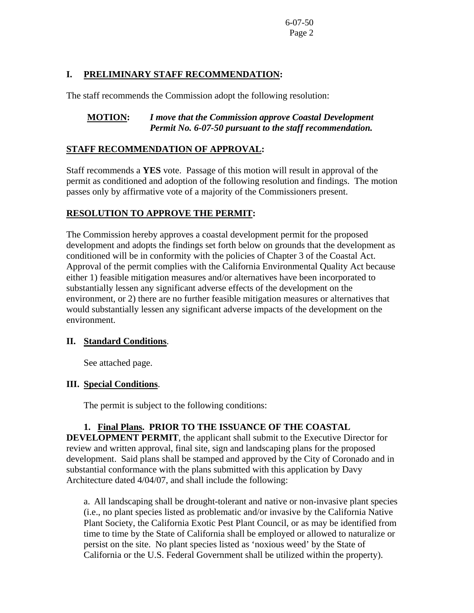## **I. PRELIMINARY STAFF RECOMMENDATION:**

The staff recommends the Commission adopt the following resolution:

## **MOTION:** *I move that the Commission approve Coastal Development Permit No. 6-07-50 pursuant to the staff recommendation.*

# **STAFF RECOMMENDATION OF APPROVAL:**

Staff recommends a **YES** vote. Passage of this motion will result in approval of the permit as conditioned and adoption of the following resolution and findings. The motion passes only by affirmative vote of a majority of the Commissioners present.

# **RESOLUTION TO APPROVE THE PERMIT:**

The Commission hereby approves a coastal development permit for the proposed development and adopts the findings set forth below on grounds that the development as conditioned will be in conformity with the policies of Chapter 3 of the Coastal Act. Approval of the permit complies with the California Environmental Quality Act because either 1) feasible mitigation measures and/or alternatives have been incorporated to substantially lessen any significant adverse effects of the development on the environment, or 2) there are no further feasible mitigation measures or alternatives that would substantially lessen any significant adverse impacts of the development on the environment.

#### **II. Standard Conditions**.

See attached page.

#### **III. Special Conditions**.

The permit is subject to the following conditions:

#### **1. Final Plans. PRIOR TO THE ISSUANCE OF THE COASTAL**

**DEVELOPMENT PERMIT**, the applicant shall submit to the Executive Director for review and written approval, final site, sign and landscaping plans for the proposed development. Said plans shall be stamped and approved by the City of Coronado and in substantial conformance with the plans submitted with this application by Davy Architecture dated 4/04/07, and shall include the following:

a. All landscaping shall be drought-tolerant and native or non-invasive plant species (i.e., no plant species listed as problematic and/or invasive by the California Native Plant Society, the California Exotic Pest Plant Council, or as may be identified from time to time by the State of California shall be employed or allowed to naturalize or persist on the site. No plant species listed as 'noxious weed' by the State of California or the U.S. Federal Government shall be utilized within the property).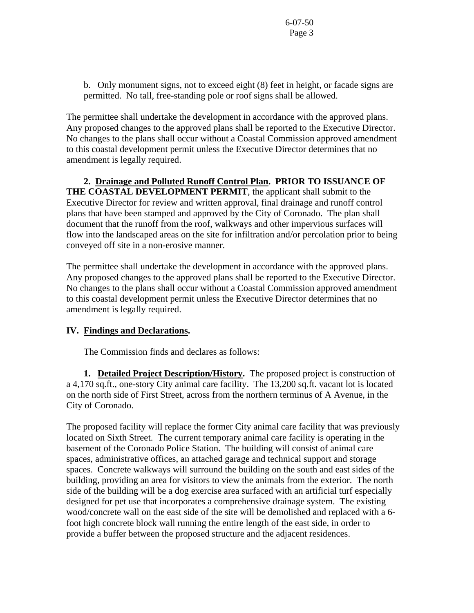b. Only monument signs, not to exceed eight (8) feet in height, or facade signs are permitted. No tall, free-standing pole or roof signs shall be allowed.

The permittee shall undertake the development in accordance with the approved plans. Any proposed changes to the approved plans shall be reported to the Executive Director. No changes to the plans shall occur without a Coastal Commission approved amendment to this coastal development permit unless the Executive Director determines that no amendment is legally required.

**2. Drainage and Polluted Runoff Control Plan. PRIOR TO ISSUANCE OF THE COASTAL DEVELOPMENT PERMIT**, the applicant shall submit to the Executive Director for review and written approval, final drainage and runoff control plans that have been stamped and approved by the City of Coronado. The plan shall document that the runoff from the roof, walkways and other impervious surfaces will flow into the landscaped areas on the site for infiltration and/or percolation prior to being conveyed off site in a non-erosive manner.

The permittee shall undertake the development in accordance with the approved plans. Any proposed changes to the approved plans shall be reported to the Executive Director. No changes to the plans shall occur without a Coastal Commission approved amendment to this coastal development permit unless the Executive Director determines that no amendment is legally required.

#### **IV. Findings and Declarations.**

The Commission finds and declares as follows:

 **1. Detailed Project Description/History.** The proposed project is construction of a 4,170 sq.ft., one-story City animal care facility. The 13,200 sq.ft. vacant lot is located on the north side of First Street, across from the northern terminus of A Avenue, in the City of Coronado.

The proposed facility will replace the former City animal care facility that was previously located on Sixth Street. The current temporary animal care facility is operating in the basement of the Coronado Police Station. The building will consist of animal care spaces, administrative offices, an attached garage and technical support and storage spaces. Concrete walkways will surround the building on the south and east sides of the building, providing an area for visitors to view the animals from the exterior. The north side of the building will be a dog exercise area surfaced with an artificial turf especially designed for pet use that incorporates a comprehensive drainage system. The existing wood/concrete wall on the east side of the site will be demolished and replaced with a 6 foot high concrete block wall running the entire length of the east side, in order to provide a buffer between the proposed structure and the adjacent residences.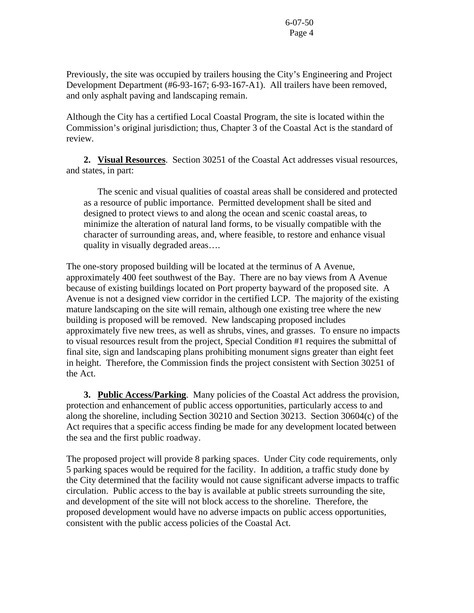Previously, the site was occupied by trailers housing the City's Engineering and Project Development Department (#6-93-167; 6-93-167-A1). All trailers have been removed, and only asphalt paving and landscaping remain.

Although the City has a certified Local Coastal Program, the site is located within the Commission's original jurisdiction; thus, Chapter 3 of the Coastal Act is the standard of review.

**2. Visual Resources**. Section 30251 of the Coastal Act addresses visual resources, and states, in part:

 The scenic and visual qualities of coastal areas shall be considered and protected as a resource of public importance. Permitted development shall be sited and designed to protect views to and along the ocean and scenic coastal areas, to minimize the alteration of natural land forms, to be visually compatible with the character of surrounding areas, and, where feasible, to restore and enhance visual quality in visually degraded areas….

The one-story proposed building will be located at the terminus of A Avenue, approximately 400 feet southwest of the Bay. There are no bay views from A Avenue because of existing buildings located on Port property bayward of the proposed site. A Avenue is not a designed view corridor in the certified LCP. The majority of the existing mature landscaping on the site will remain, although one existing tree where the new building is proposed will be removed. New landscaping proposed includes approximately five new trees, as well as shrubs, vines, and grasses. To ensure no impacts to visual resources result from the project, Special Condition #1 requires the submittal of final site, sign and landscaping plans prohibiting monument signs greater than eight feet in height. Therefore, the Commission finds the project consistent with Section 30251 of the Act.

**3. Public Access/Parking**. Many policies of the Coastal Act address the provision, protection and enhancement of public access opportunities, particularly access to and along the shoreline, including Section 30210 and Section 30213. Section 30604(c) of the Act requires that a specific access finding be made for any development located between the sea and the first public roadway.

The proposed project will provide 8 parking spaces. Under City code requirements, only 5 parking spaces would be required for the facility. In addition, a traffic study done by the City determined that the facility would not cause significant adverse impacts to traffic circulation. Public access to the bay is available at public streets surrounding the site, and development of the site will not block access to the shoreline. Therefore, the proposed development would have no adverse impacts on public access opportunities, consistent with the public access policies of the Coastal Act.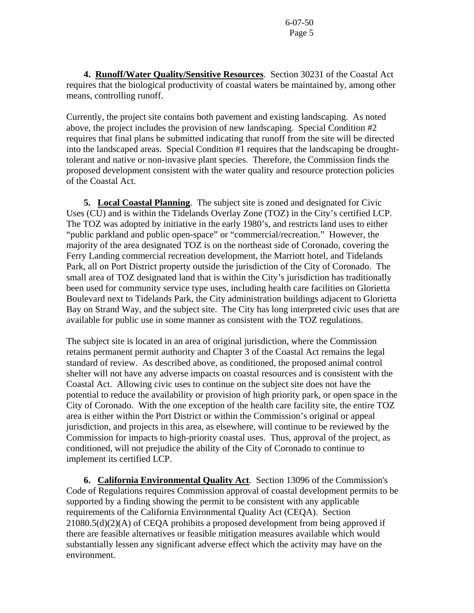**4. Runoff/Water Quality/Sensitive Resources**. Section 30231 of the Coastal Act requires that the biological productivity of coastal waters be maintained by, among other means, controlling runoff.

Currently, the project site contains both pavement and existing landscaping. As noted above, the project includes the provision of new landscaping. Special Condition #2 requires that final plans be submitted indicating that runoff from the site will be directed into the landscaped areas. Special Condition #1 requires that the landscaping be droughttolerant and native or non-invasive plant species. Therefore, the Commission finds the proposed development consistent with the water quality and resource protection policies of the Coastal Act.

**5. Local Coastal Planning**. The subject site is zoned and designated for Civic Uses (CU) and is within the Tidelands Overlay Zone (TOZ) in the City's certified LCP. The TOZ was adopted by initiative in the early 1980's, and restricts land uses to either "public parkland and public open-space" or "commercial/recreation." However, the majority of the area designated TOZ is on the northeast side of Coronado, covering the Ferry Landing commercial recreation development, the Marriott hotel, and Tidelands Park, all on Port District property outside the jurisdiction of the City of Coronado. The small area of TOZ designated land that is within the City's jurisdiction has traditionally been used for community service type uses, including health care facilities on Glorietta Boulevard next to Tidelands Park, the City administration buildings adjacent to Glorietta Bay on Strand Way, and the subject site. The City has long interpreted civic uses that are available for public use in some manner as consistent with the TOZ regulations.

The subject site is located in an area of original jurisdiction, where the Commission retains permanent permit authority and Chapter 3 of the Coastal Act remains the legal standard of review. As described above, as conditioned, the proposed animal control shelter will not have any adverse impacts on coastal resources and is consistent with the Coastal Act. Allowing civic uses to continue on the subject site does not have the potential to reduce the availability or provision of high priority park, or open space in the City of Coronado. With the one exception of the health care facility site, the entire TOZ area is either within the Port District or within the Commission's original or appeal jurisdiction, and projects in this area, as elsewhere, will continue to be reviewed by the Commission for impacts to high-priority coastal uses. Thus, approval of the project, as conditioned, will not prejudice the ability of the City of Coronado to continue to implement its certified LCP.

 **6. California Environmental Quality Act**. Section 13096 of the Commission's Code of Regulations requires Commission approval of coastal development permits to be supported by a finding showing the permit to be consistent with any applicable requirements of the California Environmental Quality Act (CEQA). Section 21080.5(d)(2)(A) of CEQA prohibits a proposed development from being approved if there are feasible alternatives or feasible mitigation measures available which would substantially lessen any significant adverse effect which the activity may have on the environment.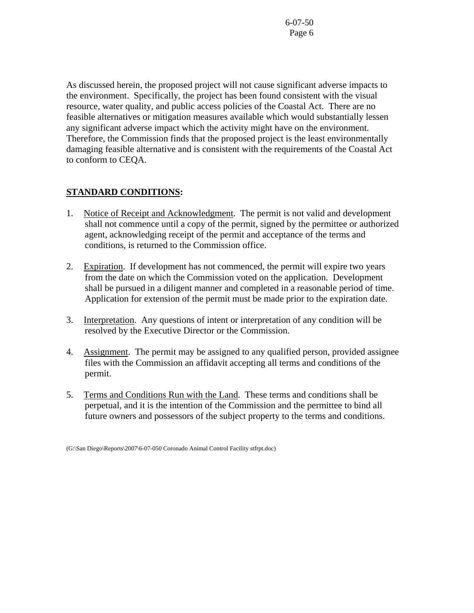As discussed herein, the proposed project will not cause significant adverse impacts to the environment. Specifically, the project has been found consistent with the visual resource, water quality, and public access policies of the Coastal Act. There are no feasible alternatives or mitigation measures available which would substantially lessen any significant adverse impact which the activity might have on the environment. Therefore, the Commission finds that the proposed project is the least environmentally damaging feasible alternative and is consistent with the requirements of the Coastal Act to conform to CEQA.

# **STANDARD CONDITIONS:**

- 1. Notice of Receipt and Acknowledgment. The permit is not valid and development shall not commence until a copy of the permit, signed by the permittee or authorized agent, acknowledging receipt of the permit and acceptance of the terms and conditions, is returned to the Commission office.
- 2. Expiration. If development has not commenced, the permit will expire two years from the date on which the Commission voted on the application. Development shall be pursued in a diligent manner and completed in a reasonable period of time. Application for extension of the permit must be made prior to the expiration date.
- 3. Interpretation. Any questions of intent or interpretation of any condition will be resolved by the Executive Director or the Commission.
- 4. Assignment. The permit may be assigned to any qualified person, provided assignee files with the Commission an affidavit accepting all terms and conditions of the permit.
- 5. Terms and Conditions Run with the Land. These terms and conditions shall be perpetual, and it is the intention of the Commission and the permittee to bind all future owners and possessors of the subject property to the terms and conditions.

<sup>(</sup>G:\San Diego\Reports\2007\6-07-050 Coronado Animal Control Facility stfrpt.doc)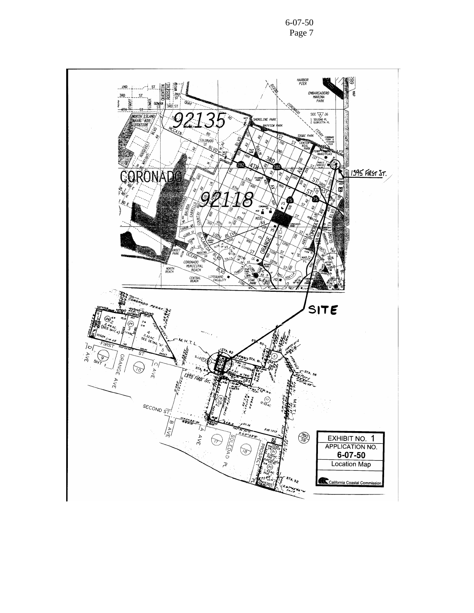